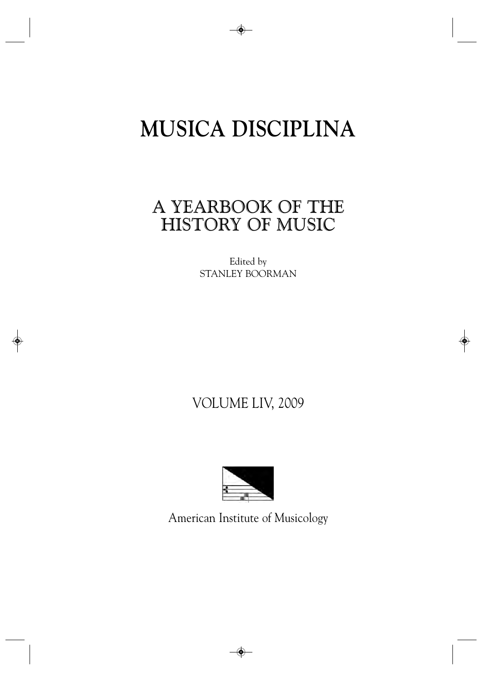# **MUSICA DISCIPLINA**

## A YEARBOOK OF THE HISTORY OF MUSIC

Edited by STANLEY BOORMAN

## VOLUME LIV, 2009



American Institute of Musicology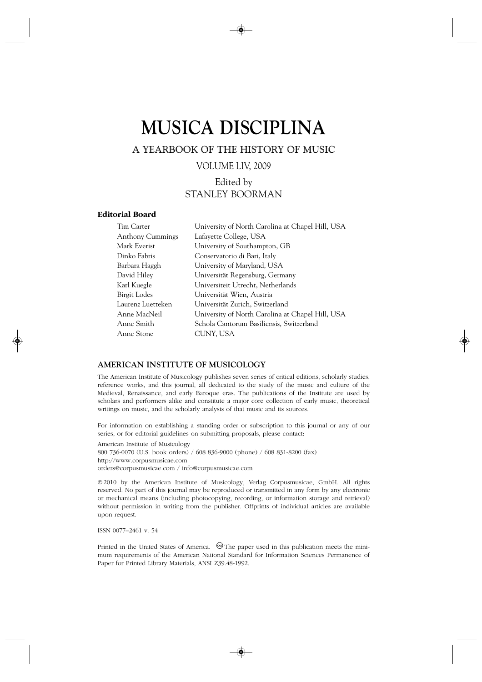## **MUSICA DISCIPLINA**

A YEARBOOK OF THE HISTORY OF MUSIC

VOLUME LIV, 2009

### Edited by STANLEY BOORMAN

#### **Editorial Board**

| Tim Carter        | University of North Carolina at Chapel Hill, USA |
|-------------------|--------------------------------------------------|
| Anthony Cummings  | Lafayette College, USA                           |
| Mark Everist      | University of Southampton, GB                    |
| Dinko Fabris      | Conservatorio di Bari, Italy                     |
| Barbara Haggh     | University of Maryland, USA                      |
| David Hilev       | Universität Regensburg, Germany                  |
| Karl Kuegle       | Universiteit Utrecht, Netherlands                |
| Birgit Lodes      | Universität Wien, Austria                        |
| Laurenz Luetteken | Universität Zurich, Switzerland                  |
| Anne MacNeil      | University of North Carolina at Chapel Hill, USA |
| Anne Smith        | Schola Cantorum Basiliensis, Switzerland         |
| Anne Stone        | CUNY, USA                                        |

#### **AMERICAN INSTITUTE OF MUSICOLOGY**

The American Institute of Musicology publishes seven series of critical editions, scholarly studies, reference works, and this journal, all dedicated to the study of the music and culture of the Medieval, Renaissance, and early Baroque eras. The publications of the Institute are used by scholars and performers alike and constitute a major core collection of early music, theoretical writings on music, and the scholarly analysis of that music and its sources.

For information on establishing a standing order or subscription to this journal or any of our series, or for editorial guidelines on submitting proposals, please contact:

American Institute of Musicology 800 736-0070 (U.S. book orders) / 608 836-9000 (phone) / 608 831-8200 (fax) http://www.corpusmusicae.com orders@corpusmusicae.com / info@corpusmusicae.com

©2010 by the American Institute of Musicology, Verlag Corpusmusicae, GmbH. All rights reserved. No part of this journal may be reproduced or transmitted in any form by any electronic or mechanical means (including photocopying, recording, or information storage and retrieval) without permission in writing from the publisher. Offprints of individual articles are available upon request.

ISSN 0077–2461 v. 54

Printed in the United States of America.  $\circledcirc$  The paper used in this publication meets the minimum requirements of the American National Standard for Information Sciences Permanence of Paper for Printed Library Materials, ANSI Z39.48-1992.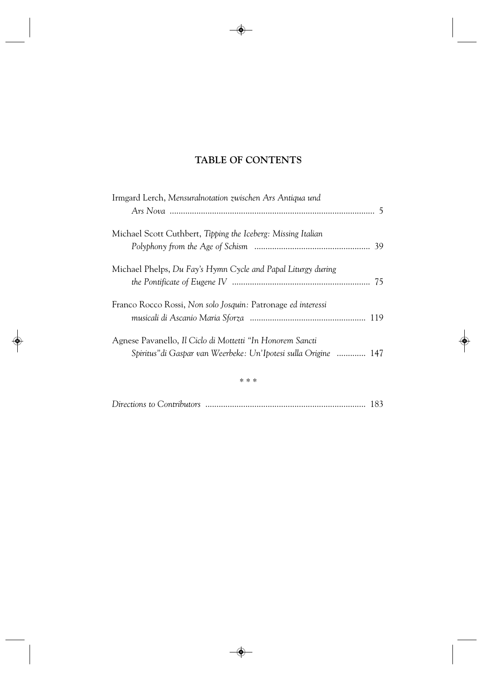## **TABLE OF CONTENTS**

| Irmgard Lerch, Mensuralnotation zwischen Ars Antiqua und                                                                     |  |
|------------------------------------------------------------------------------------------------------------------------------|--|
| Michael Scott Cuthbert, Tipping the Iceberg: Missing Italian                                                                 |  |
| Michael Phelps, Du Fay's Hymn Cycle and Papal Liturgy during                                                                 |  |
| Franco Rocco Rossi, Non solo Josquin: Patronage ed interessi                                                                 |  |
| Agnese Pavanello, Il Ciclo di Mottetti "In Honorem Sancti<br>Spiritus" di Gaspar van Weerbeke: Un'Ipotesi sulla Origine  147 |  |
|                                                                                                                              |  |

|--|--|--|--|--|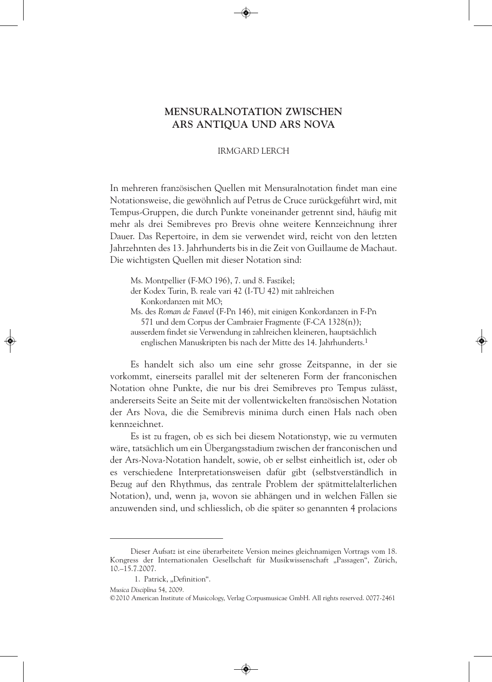### **MENSURALNOTATION ZWISCHEN ARS ANTIQUA UND ARS NOVA**

#### IRMGARD LERCH

In mehreren französischen Quellen mit Mensuralnotation findet man eine Notationsweise, die gewöhnlich auf Petrus de Cruce zurückgeführt wird, mit Tempus-Gruppen, die durch Punkte voneinander getrennt sind, häufig mit mehr als drei Semibreves pro Brevis ohne weitere Kennzeichnung ihrer Dauer. Das Repertoire, in dem sie verwendet wird, reicht von den letzten Jahrzehnten des 13. Jahrhunderts bis in die Zeit von Guillaume de Machaut. Die wichtigsten Quellen mit dieser Notation sind:

Ms. Montpellier (F-MO 196), 7. und 8. Faszikel;

der Kodex Turin, B. reale vari 42 (I-TU 42) mit zahlreichen Konkordanzen mit MO;

Ms. des *Roman de Fauvel* (F-Pn 146), mit einigen Konkordanzen in F-Pn 571 und dem Corpus der Cambraier Fragmente (F-CA 1328(n));

ausserdem findet sie Verwendung in zahlreichen kleineren, hauptsächlich englischen Manuskripten bis nach der Mitte des 14. Jahrhunderts.1

Es handelt sich also um eine sehr grosse Zeitspanne, in der sie vorkommt, einerseits parallel mit der selteneren Form der franconischen Notation ohne Punkte, die nur bis drei Semibreves pro Tempus zulässt, andererseits Seite an Seite mit der vollentwickelten französischen Notation der Ars Nova, die die Semibrevis minima durch einen Hals nach oben kennzeichnet.

Es ist zu fragen, ob es sich bei diesem Notationstyp, wie zu vermuten wäre, tatsächlich um ein Übergangsstadium zwischen der franconischen und der Ars-Nova-Notation handelt, sowie, ob er selbst einheitlich ist, oder ob es verschiedene Interpretationsweisen dafür gibt (selbstverständlich in Bezug auf den Rhythmus, das zentrale Problem der spätmittelalterlichen Notation), und, wenn ja, wovon sie abhängen und in welchen Fällen sie anzuwenden sind, und schliesslich, ob die später so genannten 4 prolacions

*Musica Disciplina* 54, 2009.

Dieser Aufsatz ist eine überarbeitete Version meines gleichnamigen Vortrags vom 18. Kongress der Internationalen Gesellschaft für Musikwissenschaft "Passagen", Zürich, 10.–15.7.2007.

<sup>1.</sup> Patrick, "Definition".

<sup>©2010</sup> American Institute of Musicology, Verlag Corpusmusicae GmbH. All rights reserved. 0077-2461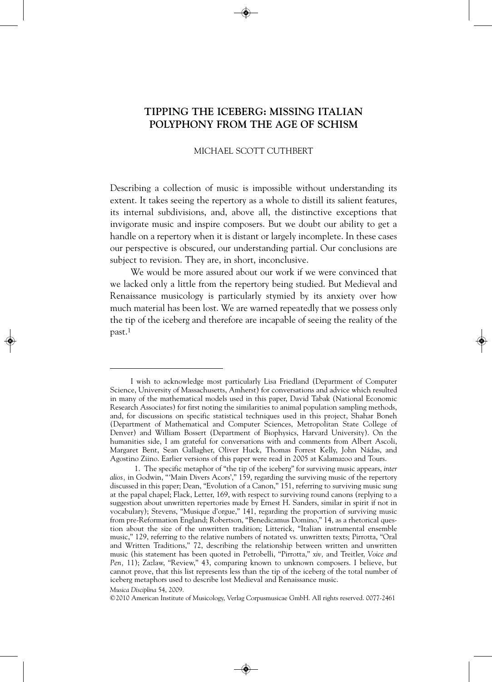## **TIPPING THE ICEBERG: MISSING ITALIAN POLYPHONY FROM THE AGE OF SCHISM**

#### MICHAEL SCOTT CUTHBERT

Describing a collection of music is impossible without understanding its extent. It takes seeing the repertory as a whole to distill its salient features, its internal subdivisions, and, above all, the distinctive exceptions that invigorate music and inspire composers. But we doubt our ability to get a handle on a repertory when it is distant or largely incomplete. In these cases our perspective is obscured, our understanding partial. Our conclusions are subject to revision. They are, in short, inconclusive.

We would be more assured about our work if we were convinced that we lacked only a little from the repertory being studied. But Medieval and Renaissance musicology is particularly stymied by its anxiety over how much material has been lost. We are warned repeatedly that we possess only the tip of the iceberg and therefore are incapable of seeing the reality of the past.1

*Musica Disciplina* 54, 2009.

©2010 American Institute of Musicology, Verlag Corpusmusicae GmbH. All rights reserved. 0077-2461

I wish to acknowledge most particularly Lisa Friedland (Department of Computer Science, University of Massachusetts, Amherst) for conversations and advice which resulted in many of the mathematical models used in this paper, David Tabak (National Economic Research Associates) for first noting the similarities to animal population sampling methods, and, for discussions on specific statistical techniques used in this project, Shahar Boneh (Department of Mathematical and Computer Sciences, Metropolitan State College of Denver) and William Bossert (Department of Biophysics, Harvard University). On the humanities side, I am grateful for conversations with and comments from Albert Ascoli, Margaret Bent, Sean Gallagher, Oliver Huck, Thomas Forrest Kelly, John Nádas, and Agostino Ziino. Earlier versions of this paper were read in 2005 at Kalamazoo and Tours.

<sup>1.</sup> The specific metaphor of "the tip of the iceberg" for surviving music appears, *inter alios,* in Godwin, "'Main Divers Acors'," 159, regarding the surviving music of the repertory discussed in this paper; Dean, "Evolution of a Canon," 151, referring to surviving music sung at the papal chapel; Flack, Letter, 169, with respect to surviving round canons (replying to a suggestion about unwritten repertories made by Ernest H. Sanders, similar in spirit if not in vocabulary); Stevens, "Musique d'orgue," 141, regarding the proportion of surviving music from pre-Reformation England; Robertson, "Benedicamus Domino," 14, as a rhetorical question about the size of the unwritten tradition; Litterick, "Italian instrumental ensemble music," 129, referring to the relative numbers of notated vs. unwritten texts; Pirrotta, "Oral and Written Traditions," 72, describing the relationship between written and unwritten music (his statement has been quoted in Petrobelli, "Pirrotta," *xiv,* and Treitler, *Voice and Pen,* 11); Zazlaw, "Review," 43, comparing known to unknown composers. I believe, but cannot prove, that this list represents less than the tip of the iceberg of the total number of iceberg metaphors used to describe lost Medieval and Renaissance music.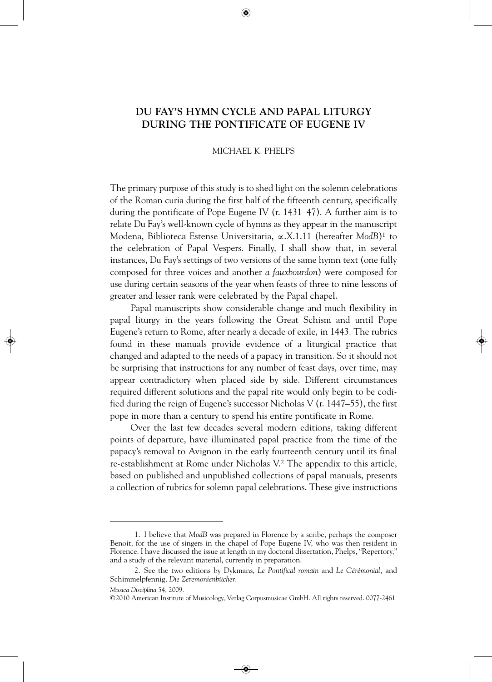## **DU FAY'S HYMN CYCLE AND PAPAL LITURGY DURING THE PONTIFICATE OF EUGENE IV**

#### MICHAEL K. PHELPS

The primary purpose of this study is to shed light on the solemn celebrations of the Roman curia during the first half of the fifteenth century, specifically during the pontificate of Pope Eugene IV (r. 1431–47). A further aim is to relate Du Fay's well-known cycle of hymns as they appear in the manuscript Modena, Biblioteca Estense Universitaria, ∝.X.1.11 (hereafter *ModB*)1 to the celebration of Papal Vespers. Finally, I shall show that, in several instances, Du Fay's settings of two versions of the same hymn text (one fully composed for three voices and another *a fauxbourdon*) were composed for use during certain seasons of the year when feasts of three to nine lessons of greater and lesser rank were celebrated by the Papal chapel.

Papal manuscripts show considerable change and much flexibility in papal liturgy in the years following the Great Schism and until Pope Eugene's return to Rome, after nearly a decade of exile, in 1443. The rubrics found in these manuals provide evidence of a liturgical practice that changed and adapted to the needs of a papacy in transition. So it should not be surprising that instructions for any number of feast days, over time, may appear contradictory when placed side by side. Different circumstances required different solutions and the papal rite would only begin to be codified during the reign of Eugene's successor Nicholas V (r. 1447–55), the first pope in more than a century to spend his entire pontificate in Rome.

Over the last few decades several modern editions, taking different points of departure, have illuminated papal practice from the time of the papacy's removal to Avignon in the early fourteenth century until its final re-establishment at Rome under Nicholas V.2 The appendix to this article, based on published and unpublished collections of papal manuals, presents a collection of rubrics for solemn papal celebrations. These give instructions

<sup>1.</sup> I believe that *ModB* was prepared in Florence by a scribe, perhaps the composer Benoit, for the use of singers in the chapel of Pope Eugene IV, who was then resident in Florence. I have discussed the issue at length in my doctoral dissertation, Phelps, "Repertory," and a study of the relevant material, currently in preparation.

<sup>2.</sup> See the two editions by Dykmans, *Le Pontifical romain* and *Le Cérémonial,* and Schimmelpfennig, *Die Zeremonienbücher.*

*Musica Disciplina* 54, 2009.

<sup>©2010</sup> American Institute of Musicology, Verlag Corpusmusicae GmbH. All rights reserved. 0077-2461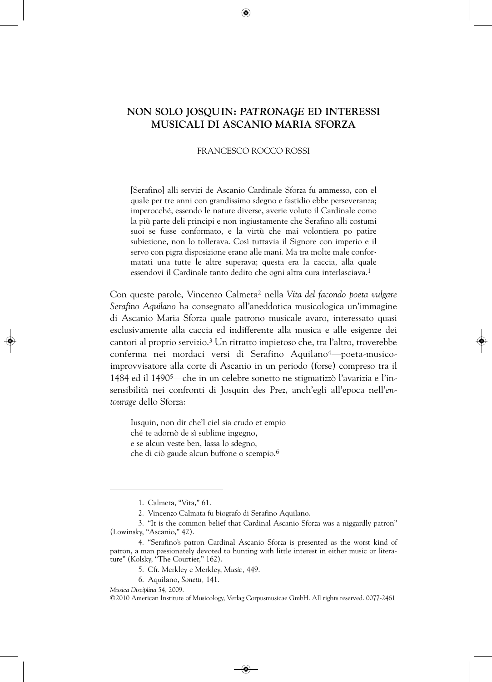### **NON SOLO JOSQUIN:** *PATRONAGE* **ED INTERESSI MUSICALI DI ASCANIO MARIA SFORZA**

#### FRANCESCO ROCCO ROSSI

[Serafino] alli servizi de Ascanio Cardinale Sforza fu ammesso, con el quale per tre anni con grandissimo sdegno e fastidio ebbe perseveranza; imperocché, essendo le nature diverse, averie voluto il Cardinale como la più parte deli principi e non ingiustamente che Serafino alli costumi suoi se fusse conformato, e la virtù che mai volontiera po patire subiezione, non lo tollerava. Così tuttavia il Signore con imperio e il servo con pigra disposizione erano alle mani. Ma tra molte male conformatati una tutte le altre superava; questa era la caccia, alla quale essendovi il Cardinale tanto dedito che ogni altra cura interlasciava.1

Con queste parole, Vincenzo Calmeta2 nella *Vita del facondo poeta vulgare Serafino Aquilano* ha consegnato all'aneddotica musicologica un'immagine di Ascanio Maria Sforza quale patrono musicale avaro, interessato quasi esclusivamente alla caccia ed indifferente alla musica e alle esigenze dei cantori al proprio servizio.3 Un ritratto impietoso che, tra l'altro, troverebbe conferma nei mordaci versi di Serafino Aquilano4—poeta-musicoimprovvisatore alla corte di Ascanio in un periodo (forse) compreso tra il 1484 ed il 14905—che in un celebre sonetto ne stigmatizzò l'avarizia e l'insensibilità nei confronti di Josquin des Prez, anch'egli all'epoca nell'*entourage* dello Sforza:

Iusquin, non dir che'l ciel sia crudo et empio ché te adornò de sì sublime ingegno, e se alcun veste ben, lassa lo sdegno, che di ciò gaude alcun buffone o scempio.6

<sup>1.</sup> Calmeta, "Vita," 61.

<sup>2.</sup> Vincenzo Calmata fu biografo di Serafino Aquilano.

<sup>3. &</sup>quot;It is the common belief that Cardinal Ascanio Sforza was a niggardly patron" (Lowinsky, "Ascanio," 42).

<sup>4. &</sup>quot;Serafino's patron Cardinal Ascanio Sforza is presented as the worst kind of patron, a man passionately devoted to hunting with little interest in either music or literature" (Kolsky, "The Courtier," 162).

<sup>5.</sup> Cfr. Merkley e Merkley, *Music,* 449.

<sup>6.</sup> Aquilano, *Sonetti,* 141.

*Musica Disciplina* 54, 2009.

<sup>©2010</sup> American Institute of Musicology, Verlag Corpusmusicae GmbH. All rights reserved. 0077-2461